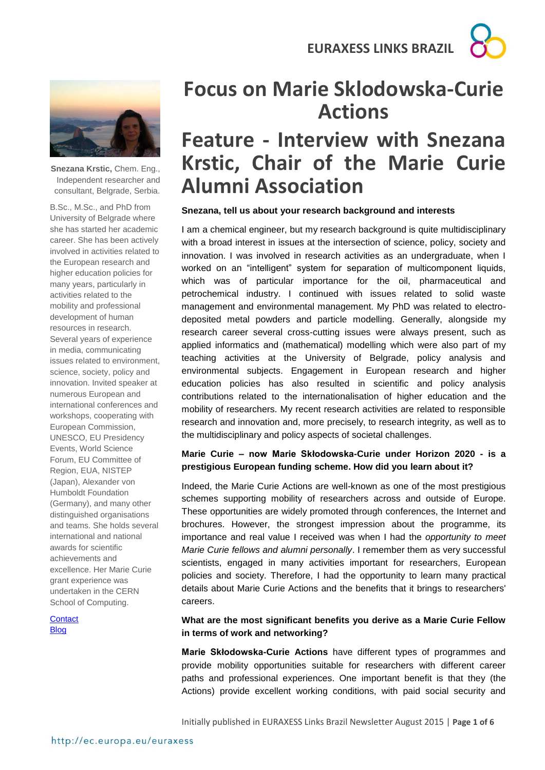

**Snezana Krstic,** Chem. Eng., Independent researcher and consultant, Belgrade, Serbia.

B.Sc., M.Sc., and PhD from University of Belgrade where she has started her academic career. She has been actively involved in activities related to the European research and higher education policies for many years, particularly in activities related to the mobility and professional development of human resources in research. Several years of experience in media, communicating issues related to environment, science, society, policy and innovation. Invited speaker at numerous European and international conferences and workshops, cooperating with European Commission, UNESCO, EU Presidency Events, World Science Forum, EU Committee of Region, EUA, NISTEP (Japan), Alexander von Humboldt Foundation (Germany), and many other distinguished organisations and teams. She holds several international and national awards for scientific achievements and excellence. Her Marie Curie grant experience was undertaken in the CERN School of Computing.

**[Contact](https://docs.google.com/forms/d/1JroyeUYyF-lbZsQ9XdJx8M-2so4JXpDnBzLiYEOPGa4/viewform) [Blog](https://www.mariecuriealumni.eu/blogs/snezana-krstic)** 

# **Focus on Marie Sklodowska-Curie Actions**

# **Feature - Interview with Snezana Krstic, Chair of the Marie Curie Alumni Association**

#### **Snezana, tell us about your research background and interests**

I am a chemical engineer, but my research background is quite multidisciplinary with a broad interest in issues at the intersection of science, policy, society and innovation. I was involved in research activities as an undergraduate, when I worked on an "intelligent" system for separation of multicomponent liquids, which was of particular importance for the oil, pharmaceutical and petrochemical industry. I continued with issues related to solid waste management and environmental management. My PhD was related to electrodeposited metal powders and particle modelling. Generally, alongside my research career several cross-cutting issues were always present, such as applied informatics and (mathematical) modelling which were also part of my teaching activities at the University of Belgrade, policy analysis and environmental subjects. Engagement in European research and higher education policies has also resulted in scientific and policy analysis contributions related to the internationalisation of higher education and the mobility of researchers. My recent research activities are related to responsible research and innovation and, more precisely, to research integrity, as well as to the multidisciplinary and policy aspects of societal challenges.

### **Marie Curie – now Marie Skłodowska-Curie under Horizon 2020 - is a prestigious European funding scheme. How did you learn about it?**

Indeed, the Marie Curie Actions are well-known as one of the most prestigious schemes supporting mobility of researchers across and outside of Europe. These opportunities are widely promoted through conferences, the Internet and brochures. However, the strongest impression about the programme, its importance and real value I received was when I had the *opportunity to meet Marie Curie fellows and alumni personally*. I remember them as very successful scientists, engaged in many activities important for researchers, European policies and society. Therefore, I had the opportunity to learn many practical details about Marie Curie Actions and the benefits that it brings to researchers' careers.

### **What are the most significant benefits you derive as a Marie Curie Fellow in terms of work and networking?**

**Marie Skłodowska-Curie Actions** have different types of programmes and provide mobility opportunities suitable for researchers with different career paths and professional experiences. One important benefit is that they (the Actions) provide excellent working conditions, with paid social security and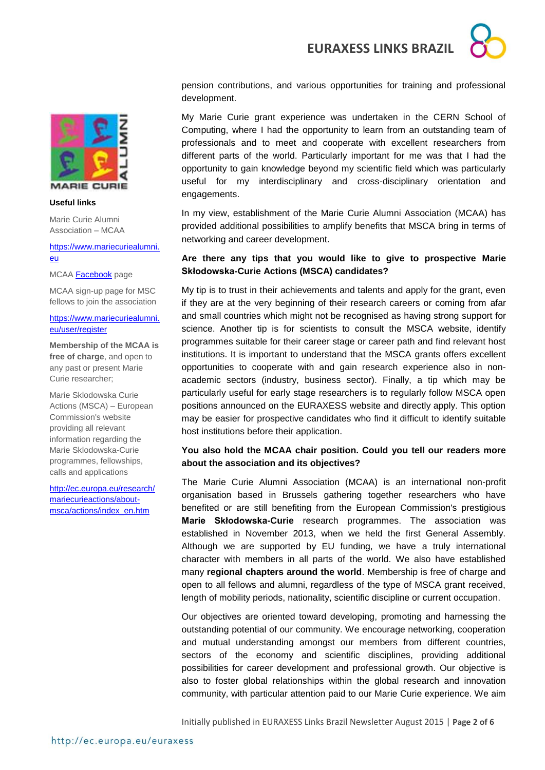



#### **Useful links**

Marie Curie Alumni Association – MCAA

#### [https://www.mariecuriealumni.](https://www.mariecuriealumni.eu/) [eu](https://www.mariecuriealumni.eu/)

MCAA **Facebook** page

MCAA sign-up page for MSC fellows to join the association

#### [https://www.mariecuriealumni.](https://www.mariecuriealumni.eu/user/register) [eu/user/register](https://www.mariecuriealumni.eu/user/register)

**Membership of the MCAA is free of charge**, and open to any past or present Marie Curie researcher;

Marie Sklodowska Curie Actions (MSCA) – European Commission's website providing all relevant information regarding the Marie Sklodowska-Curie programmes, fellowships, calls and applications

[http://ec.europa.eu/research/](http://ec.europa.eu/research/mariecurieactions/about-msca/actions/index_en.htm) [mariecurieactions/about](http://ec.europa.eu/research/mariecurieactions/about-msca/actions/index_en.htm)[msca/actions/index\\_en.htm](http://ec.europa.eu/research/mariecurieactions/about-msca/actions/index_en.htm)

pension contributions, and various opportunities for training and professional development.

My Marie Curie grant experience was undertaken in the CERN School of Computing, where I had the opportunity to learn from an outstanding team of professionals and to meet and cooperate with excellent researchers from different parts of the world. Particularly important for me was that I had the opportunity to gain knowledge beyond my scientific field which was particularly useful for my interdisciplinary and cross-disciplinary orientation and engagements.

In my view, establishment of the Marie Curie Alumni Association (MCAA) has provided additional possibilities to amplify benefits that MSCA bring in terms of networking and career development.

### **Are there any tips that you would like to give to prospective Marie Skłodowska-Curie Actions (MSCA) candidates?**

My tip is to trust in their achievements and talents and apply for the grant, even if they are at the very beginning of their research careers or coming from afar and small countries which might not be recognised as having strong support for science. Another tip is for scientists to consult the MSCA website, identify programmes suitable for their career stage or career path and find relevant host institutions. It is important to understand that the MSCA grants offers excellent opportunities to cooperate with and gain research experience also in nonacademic sectors (industry, business sector). Finally, a tip which may be particularly useful for early stage researchers is to regularly follow MSCA open positions announced on the EURAXESS website and directly apply. This option may be easier for prospective candidates who find it difficult to identify suitable host institutions before their application.

#### **You also hold the MCAA chair position. Could you tell our readers more about the association and its objectives?**

The Marie Curie Alumni Association (MCAA) is an international non-profit organisation based in Brussels gathering together researchers who have benefited or are still benefiting from the European Commission's prestigious **Marie Skłodowska-Curie** research programmes. The association was established in November 2013, when we held the first General Assembly. Although we are supported by EU funding, we have a truly international character with members in all parts of the world. We also have established many **regional chapters around the world**. Membership is free of charge and open to all fellows and alumni, regardless of the type of MSCA grant received, length of mobility periods, nationality, scientific discipline or current occupation.

Our objectives are oriented toward developing, promoting and harnessing the outstanding potential of our community. We encourage networking, cooperation and mutual understanding amongst our members from different countries, sectors of the economy and scientific disciplines, providing additional possibilities for career development and professional growth. Our objective is also to foster global relationships within the global research and innovation community, with particular attention paid to our Marie Curie experience. We aim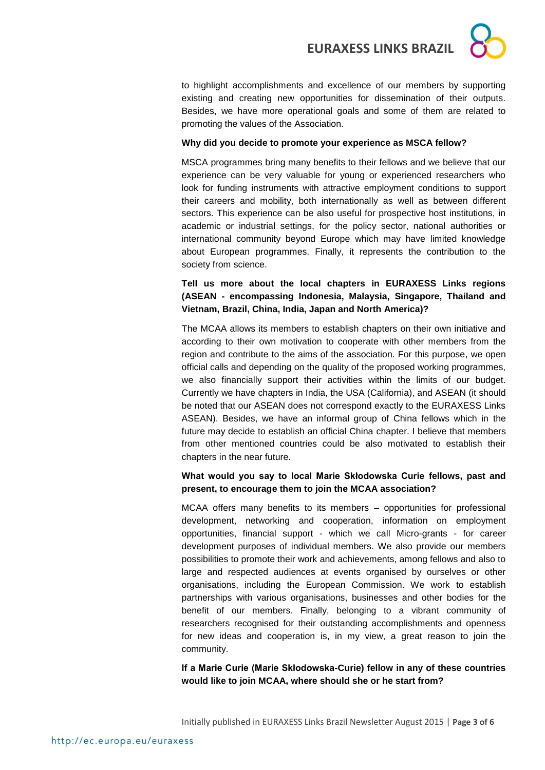to highlight accomplishments and excellence of our members by supporting existing and creating new opportunities for dissemination of their outputs. Besides, we have more operational goals and some of them are related to promoting the values of the Association.

### **Why did you decide to promote your experience as MSCA fellow?**

MSCA programmes bring many benefits to their fellows and we believe that our experience can be very valuable for young or experienced researchers who look for funding instruments with attractive employment conditions to support their careers and mobility, both internationally as well as between different sectors. This experience can be also useful for prospective host institutions, in academic or industrial settings, for the policy sector, national authorities or international community beyond Europe which may have limited knowledge about European programmes. Finally, it represents the contribution to the society from science.

**Tell us more about the local chapters in EURAXESS Links regions (ASEAN - encompassing Indonesia, Malaysia, Singapore, Thailand and Vietnam, Brazil, China, India, Japan and North America)?**

The MCAA allows its members to establish chapters on their own initiative and according to their own motivation to cooperate with other members from the region and contribute to the aims of the association. For this purpose, we open official calls and depending on the quality of the proposed working programmes, we also financially support their activities within the limits of our budget. Currently we have chapters in India, the USA (California), and ASEAN (it should be noted that our ASEAN does not correspond exactly to the EURAXESS Links ASEAN). Besides, we have an informal group of China fellows which in the future may decide to establish an official China chapter. I believe that members from other mentioned countries could be also motivated to establish their chapters in the near future.

### **What would you say to local Marie Skłodowska Curie fellows, past and present, to encourage them to join the MCAA association?**

MCAA offers many benefits to its members – opportunities for professional development, networking and cooperation, information on employment opportunities, financial support - which we call Micro-grants - for career development purposes of individual members. We also provide our members possibilities to promote their work and achievements, among fellows and also to large and respected audiences at events organised by ourselves or other organisations, including the European Commission. We work to establish partnerships with various organisations, businesses and other bodies for the benefit of our members. Finally, belonging to a vibrant community of researchers recognised for their outstanding accomplishments and openness for new ideas and cooperation is, in my view, a great reason to join the community.

**If a Marie Curie (Marie Skłodowska-Curie) fellow in any of these countries would like to join MCAA, where should she or he start from?**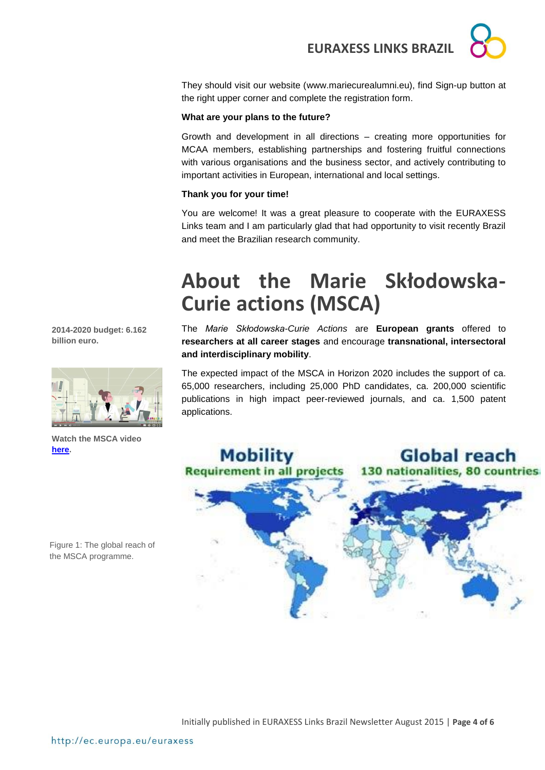They should visit our website [\(www.mariecurealumni.eu\)](http://www.mariecurealumni.eu/), find Sign-up button at the right upper corner and complete the registration form.

#### **What are your plans to the future?**

Growth and development in all directions – creating more opportunities for MCAA members, establishing partnerships and fostering fruitful connections with various organisations and the business sector, and actively contributing to important activities in European, international and local settings.

#### **Thank you for your time!**

You are welcome! It was a great pleasure to cooperate with the EURAXESS Links team and I am particularly glad that had opportunity to visit recently Brazil and meet the Brazilian research community.

# **About the Marie Skłodowska-Curie actions (MSCA)**

The *Marie Skłodowska-Curie Actions* are **European grants** offered to **researchers at all career stages** and encourage **transnational, intersectoral and interdisciplinary mobility**.

The expected impact of the MSCA in Horizon 2020 includes the support of ca. 65,000 researchers, including 25,000 PhD candidates, ca. 200,000 scientific publications in high impact peer-reviewed journals, and ca. 1,500 patent applications.



**2014-2020 budget: 6.162 billion euro.**



**Watch the MSCA video [here.](https://www.youtube.com/watch?v=S-fDoxerKeA&list=PLvpwIjZTs-LipXfZlh964n7cdMXWMIUOJ&index=3)**

Figure 1: The global reach of the MSCA programme.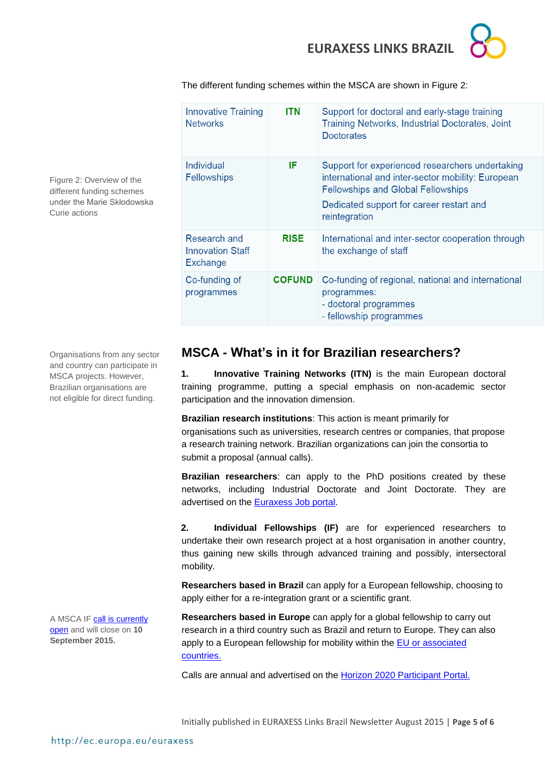

The different funding schemes within the MSCA are shown in Figure 2:

| <b>Innovative Training</b><br><b>Networks</b>       | ITN           | Support for doctoral and early-stage training<br>Training Networks, Industrial Doctorates, Joint<br><b>Doctorates</b>                                                                                          |
|-----------------------------------------------------|---------------|----------------------------------------------------------------------------------------------------------------------------------------------------------------------------------------------------------------|
| Individual<br>Fellowships                           | IF            | Support for experienced researchers undertaking<br>international and inter-sector mobility: European<br><b>Fellowships and Global Fellowships</b><br>Dedicated support for career restart and<br>reintegration |
| Research and<br><b>Innovation Staff</b><br>Exchange | <b>RISE</b>   | International and inter-sector cooperation through<br>the exchange of staff                                                                                                                                    |
| Co-funding of<br>programmes                         | <b>COFUND</b> | Co-funding of regional, national and international<br>programmes:<br>- doctoral programmes<br>- fellowship programmes                                                                                          |

Figure 2: Overview of the different funding schemes under the Marie Skłodowska Curie actions

Organisations from any sector

and country can participate in MSCA projects. However, Brazilian organisations are not eligible for direct funding.

A MSCA IF call is [currently](http://ec.europa.eu/research/participants/portal/desktop/en/opportunities/h2020/calls/h2020-msca-if-2015.html)  [open](http://ec.europa.eu/research/participants/portal/desktop/en/opportunities/h2020/calls/h2020-msca-if-2015.html) and will close on **10 September 2015.** 

## **MSCA - What's in it for Brazilian researchers?**

**1. Innovative Training Networks (ITN)** is the main European doctoral training programme, putting a special emphasis on non-academic sector participation and the innovation dimension.

**Brazilian research institutions**: This action is meant primarily for organisations such as universities, research centres or companies, that propose a research training network. Brazilian organizations can join the consortia to submit a proposal (annual calls).

**Brazilian researchers**: can apply to the PhD positions created by these networks, including Industrial Doctorate and Joint Doctorate. They are advertised on the [Euraxess Job portal.](http://ec.europa.eu/euraxess/index.cfm/jobs/index)

**2. Individual Fellowships (IF)** are for experienced researchers to undertake their own research project at a host organisation in another country, thus gaining new skills through advanced training and possibly, intersectoral mobility.

**Researchers based in Brazil** can apply for a European fellowship, choosing to apply either for a re-integration grant or a scientific grant.

**Researchers based in Europe** can apply for a global fellowship to carry out research in a third country such as Brazil and return to Europe. They can also apply to a European fellowship for mobility within the EU or associated [countries.](http://ec.europa.eu/research/participants/data/ref/h2020/wp/2014_2015/annexes/h2020-wp1415-annex-a-countries-rules_en.pdf)

Calls are annual and advertised on the [Horizon 2020 Participant Portal.](http://ec.europa.eu/research/participants/portal/desktop/en/home.html)